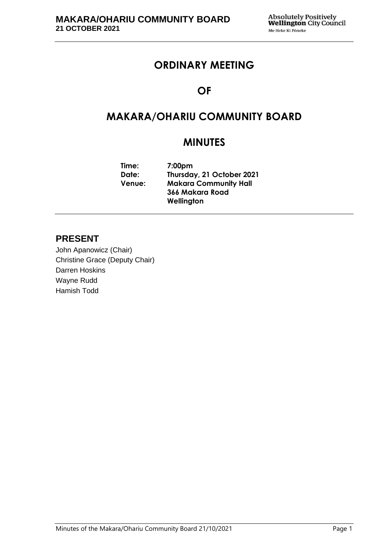## **ORDINARY MEETING**

## **OF**

# **MAKARA/OHARIU COMMUNITY BOARD**

# **MINUTES**

**Time: 7:00pm Date: Thursday, 21 October 2021 Venue: Makara Community Hall 366 Makara Road Wellington**

### **PRESENT**

John Apanowicz (Chair) Christine Grace (Deputy Chair) Darren Hoskins Wayne Rudd Hamish Todd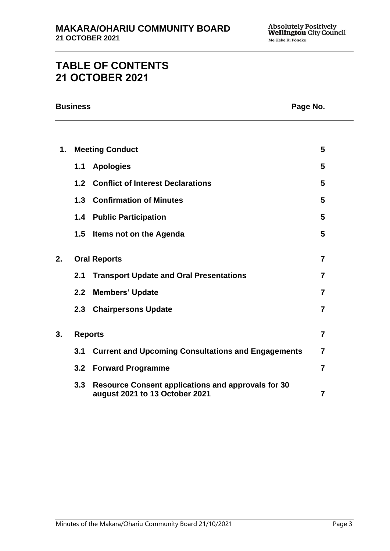# **TABLE OF CONTENTS 21 OCTOBER 2021**

|    | <b>Business</b><br>Page No. |                                                                                             |                |
|----|-----------------------------|---------------------------------------------------------------------------------------------|----------------|
|    |                             |                                                                                             |                |
| 1. | <b>Meeting Conduct</b>      |                                                                                             | 5              |
|    | 1.1                         | <b>Apologies</b>                                                                            | 5              |
|    | 1.2                         | <b>Conflict of Interest Declarations</b>                                                    | 5              |
|    |                             | 1.3 Confirmation of Minutes                                                                 | 5              |
|    |                             | 1.4 Public Participation                                                                    | 5              |
|    | 1.5                         | <b>Items not on the Agenda</b>                                                              | 5              |
| 2. |                             | <b>Oral Reports</b>                                                                         | $\overline{7}$ |
|    | 2.1                         | <b>Transport Update and Oral Presentations</b>                                              | $\overline{7}$ |
|    | 2.2                         | <b>Members' Update</b>                                                                      | $\overline{7}$ |
|    |                             | 2.3 Chairpersons Update                                                                     | $\overline{7}$ |
| 3. | <b>Reports</b>              |                                                                                             | $\overline{7}$ |
|    | 3.1                         | <b>Current and Upcoming Consultations and Engagements</b>                                   | $\overline{7}$ |
|    | 3.2                         | <b>Forward Programme</b>                                                                    | $\overline{7}$ |
|    | 3.3                         | <b>Resource Consent applications and approvals for 30</b><br>august 2021 to 13 October 2021 | $\overline{7}$ |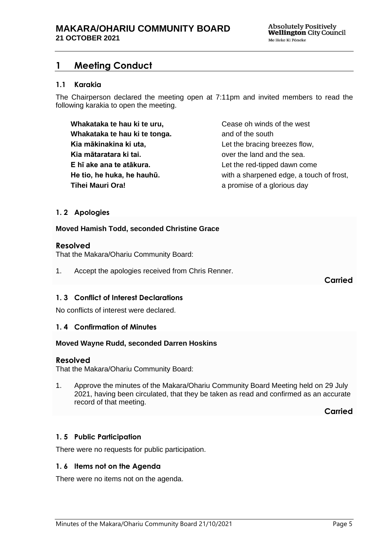### <span id="page-4-0"></span>**1 Meeting Conduct**

### **1.1 Karakia**

The Chairperson declared the meeting open at 7:11pm and invited members to read the following karakia to open the meeting.

**Whakataka te hau ki te uru, Whakataka te hau ki te tonga. Kia mākinakina ki uta, Kia mātaratara ki tai. E hī ake ana te atākura. He tio, he huka, he hauhū. Tihei Mauri Ora!**

Cease oh winds of the west and of the south Let the bracing breezes flow, over the land and the sea. Let the red-tipped dawn come with a sharpened edge, a touch of frost, a promise of a glorious day

### <span id="page-4-1"></span>**1. 2 Apologies**

#### **Moved Hamish Todd, seconded Christine Grace**

#### **Resolved**

That the Makara/Ohariu Community Board:

1. Accept the apologies received from Chris Renner.

**Carried**

#### <span id="page-4-2"></span>**1. 3 Conflict of Interest Declarations**

No conflicts of interest were declared.

#### <span id="page-4-3"></span>**1. 4 Confirmation of Minutes**

#### **Moved Wayne Rudd, seconded Darren Hoskins**

#### **Resolved**

That the Makara/Ohariu Community Board:

1. Approve the minutes of the Makara/Ohariu Community Board Meeting held on 29 July 2021, having been circulated, that they be taken as read and confirmed as an accurate record of that meeting.

**Carried**

### <span id="page-4-5"></span>**1. 5 Public Participation**

There were no requests for public participation.

#### <span id="page-4-4"></span>**1. 6 Items not on the Agenda**

There were no items not on the agenda.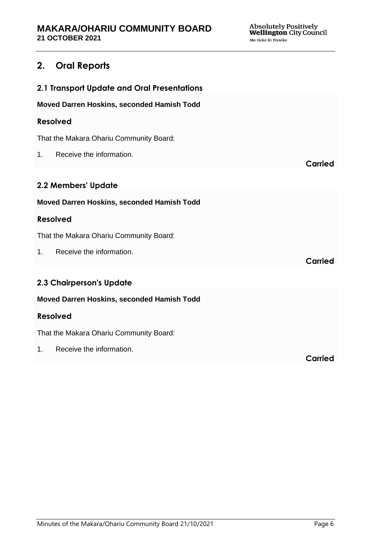### **2. Oral Reports**

| 2.1 Transport Update and Oral Presentations |                |  |  |
|---------------------------------------------|----------------|--|--|
| Moved Darren Hoskins, seconded Hamish Todd  |                |  |  |
| <b>Resolved</b>                             |                |  |  |
| That the Makara Ohariu Community Board:     |                |  |  |
| Receive the information.<br>1.              | <b>Carried</b> |  |  |
| 2.2 Members' Update                         |                |  |  |
| Moved Darren Hoskins, seconded Hamish Todd  |                |  |  |
| <b>Resolved</b>                             |                |  |  |
| That the Makara Ohariu Community Board:     |                |  |  |
| Receive the information.<br>1.              | Carried        |  |  |
| 2.3 Chairperson's Update                    |                |  |  |
| Moved Darren Hoskins, seconded Hamish Todd  |                |  |  |
| <b>Resolved</b>                             |                |  |  |
| That the Makara Ohariu Community Board:     |                |  |  |
| Receive the information.<br>1.              | Carried        |  |  |